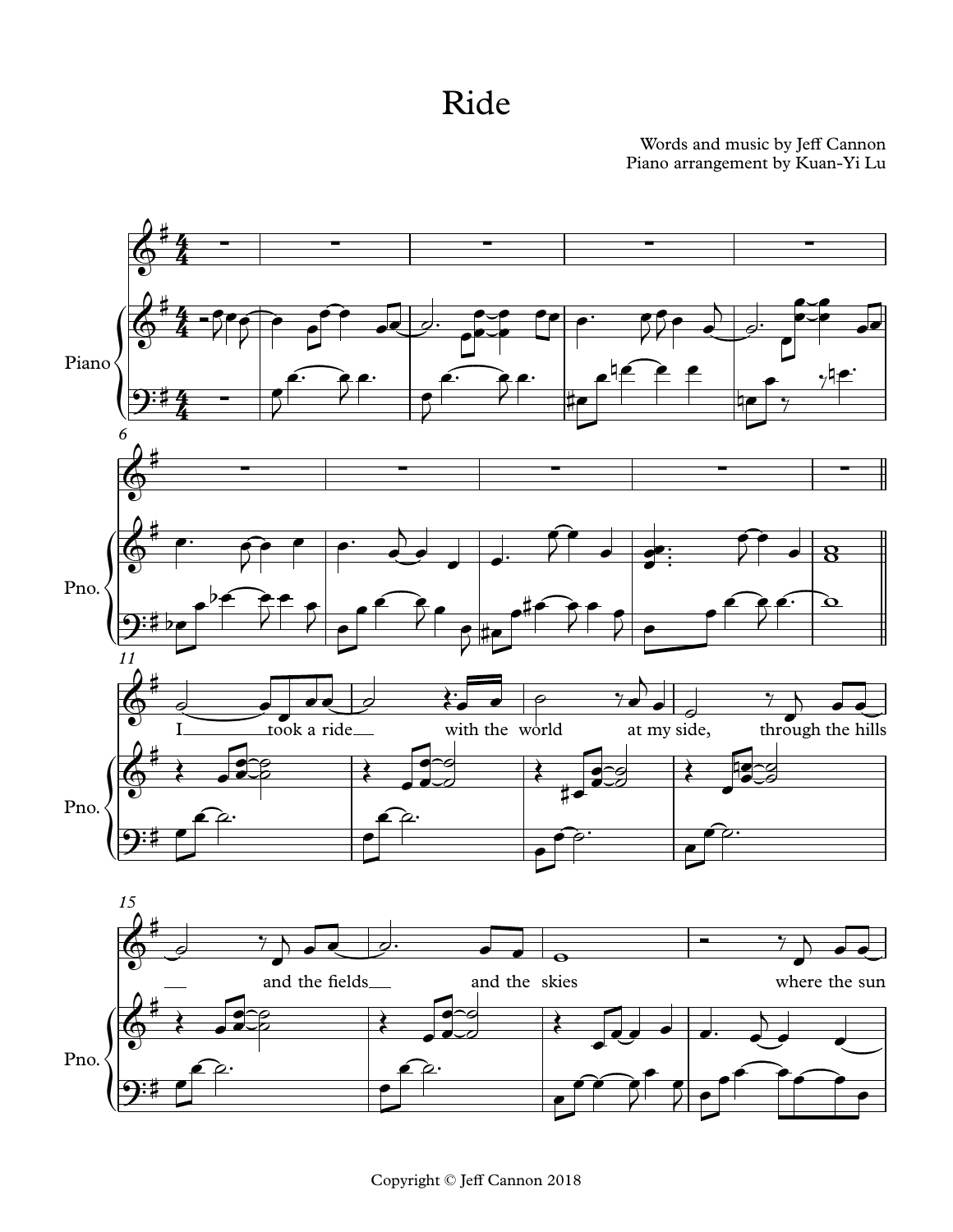## Ride

## Piano arrangement by Kuan-Yi Lu Words and music by Jeff Cannon

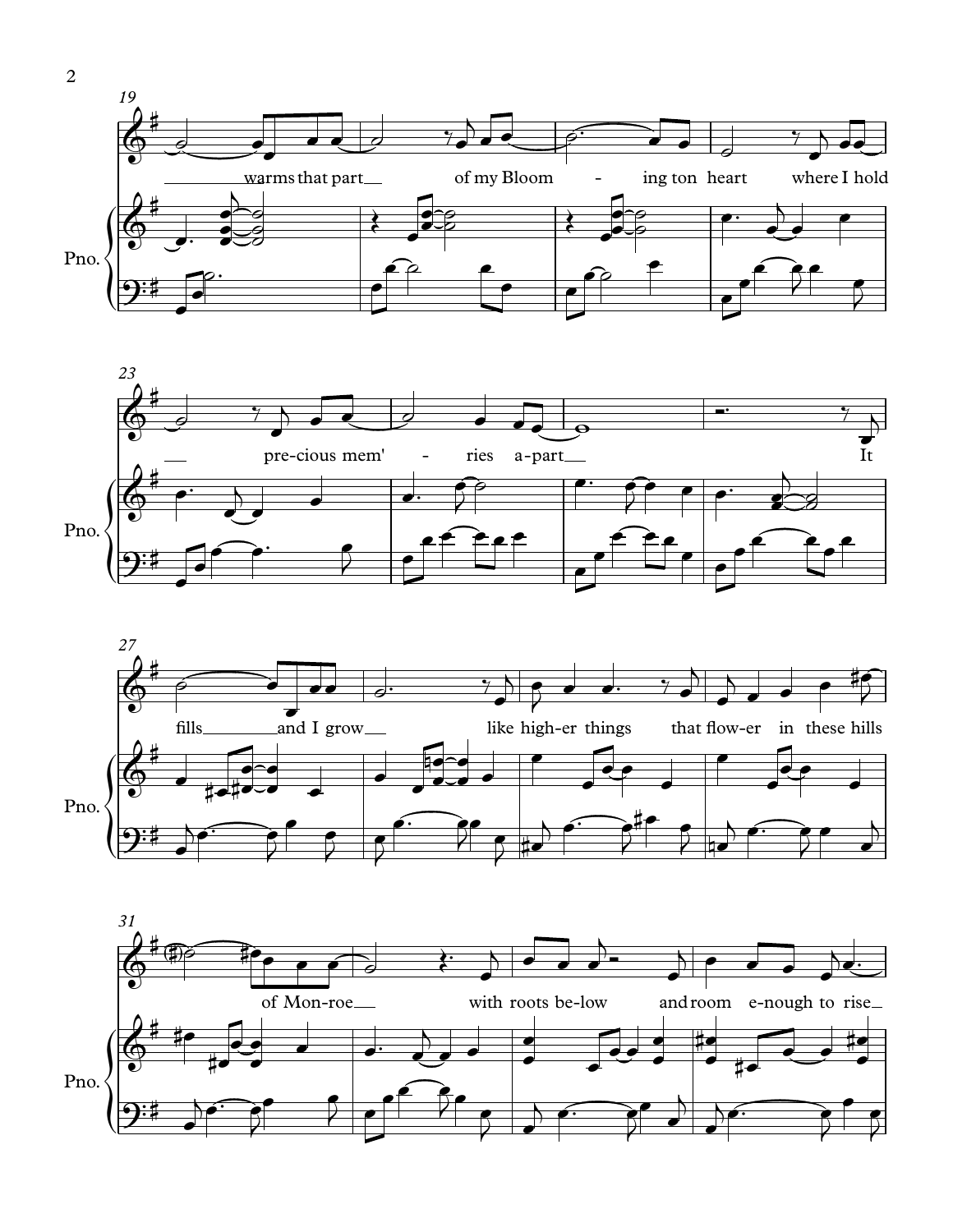



![](_page_1_Figure_2.jpeg)

![](_page_1_Figure_3.jpeg)

 $\overline{2}$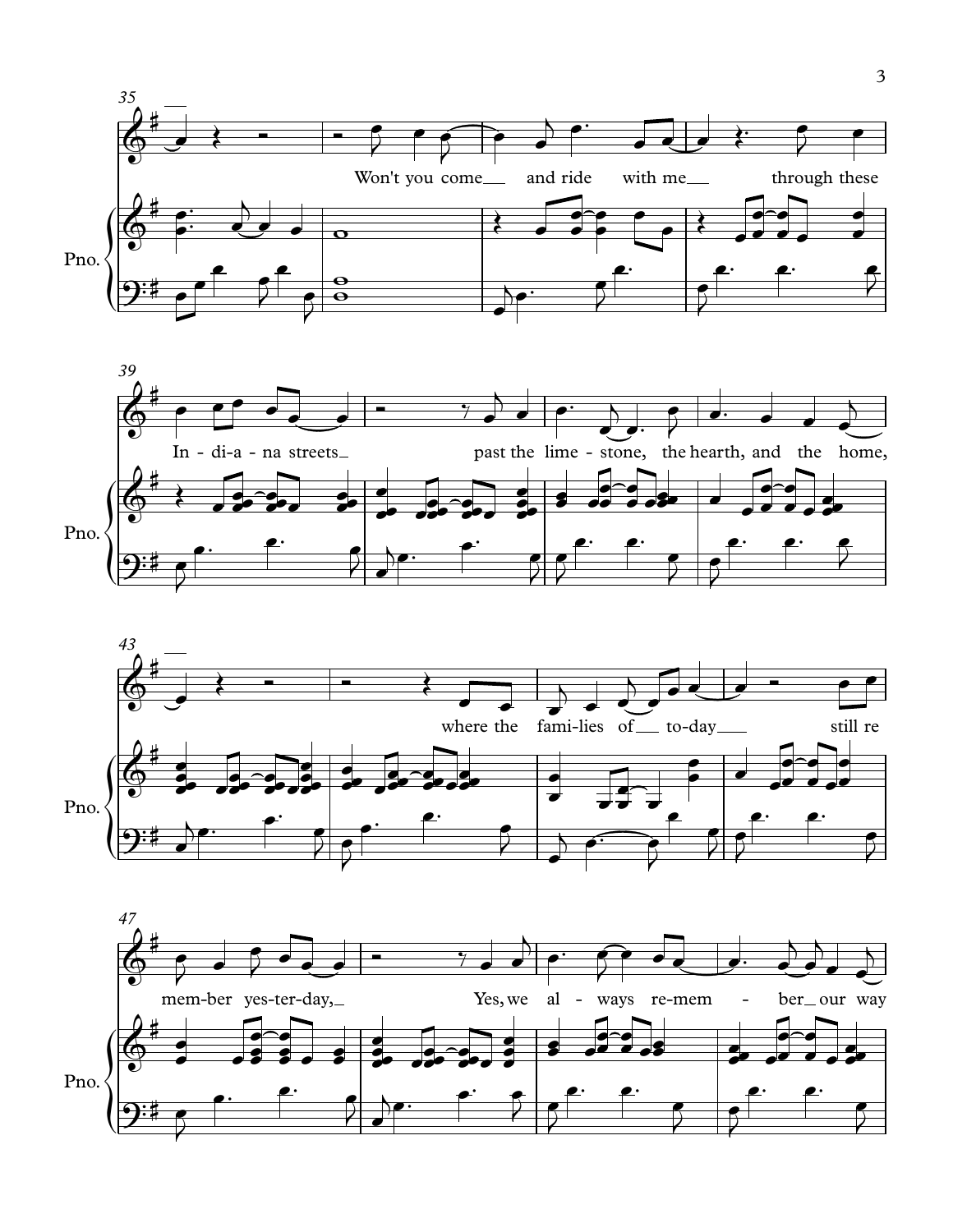![](_page_2_Figure_0.jpeg)

![](_page_2_Figure_1.jpeg)

![](_page_2_Figure_2.jpeg)

![](_page_2_Figure_3.jpeg)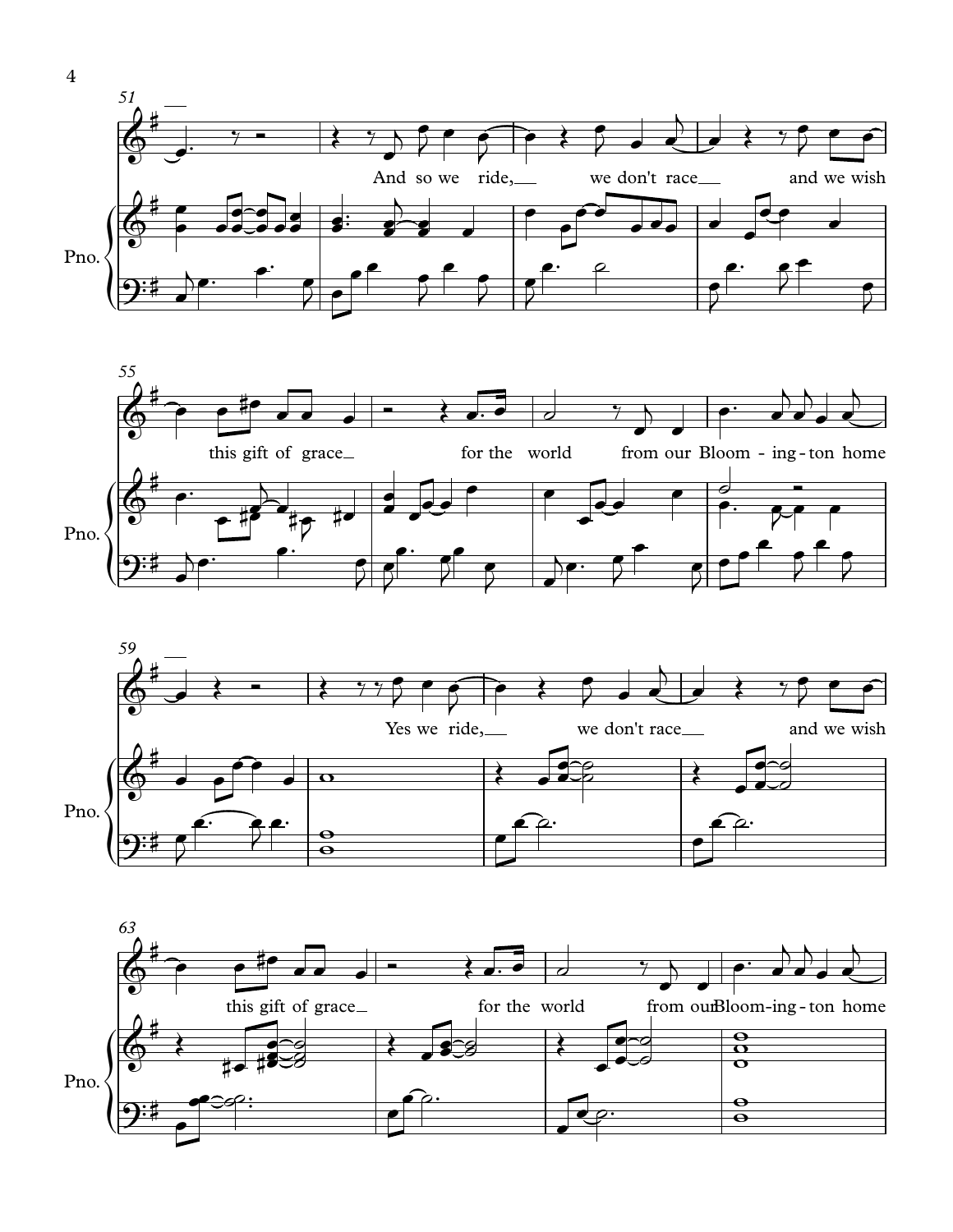![](_page_3_Figure_0.jpeg)

![](_page_3_Figure_1.jpeg)

![](_page_3_Figure_2.jpeg)

![](_page_3_Figure_3.jpeg)

4